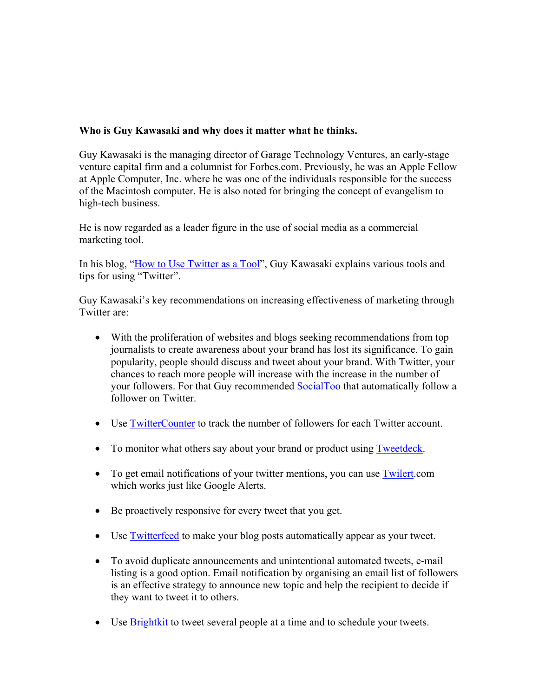## **Who is Guy Kawasaki and why does it matter what he thinks.**

Guy Kawasaki is the managing director of Garage Technology Ventures, an early-stage venture capital firm and a columnist for Forbes.com. Previously, he was an Apple Fellow at Apple Computer, Inc. where he was one of the individuals responsible for the success of the Macintosh computer. He is also noted for bringing the concept of evangelism to high-tech business.

He is now regarded as a leader figure in the use of social media as a commercial marketing tool.

In his blog, "How to Use Twitter as a Tool", Guy Kawasaki explains various tools and tips for using "Twitter".

Guy Kawasaki's key recommendations on increasing effectiveness of marketing through Twitter are:

- With the proliferation of websites and blogs seeking recommendations from top journalists to create awareness about your brand has lost its significance. To gain popularity, people should discuss and tweet about your brand. With Twitter, your chances to reach more people will increase with the increase in the number of your followers. For that Guy recommended SocialToo that automatically follow a follower on Twitter.
- Use TwitterCounter to track the number of followers for each Twitter account.
- To monitor what others say about your brand or product using **Tweetdeck**.
- To get email notifications of your twitter mentions, you can use Twilert.com which works just like Google Alerts.
- Be proactively responsive for every tweet that you get.
- Use Twitterfeed to make your blog posts automatically appear as your tweet.
- To avoid duplicate announcements and unintentional automated tweets, e-mail listing is a good option. Email notification by organising an email list of followers is an effective strategy to announce new topic and help the recipient to decide if they want to tweet it to others.
- Use Brightkit to tweet several people at a time and to schedule your tweets.